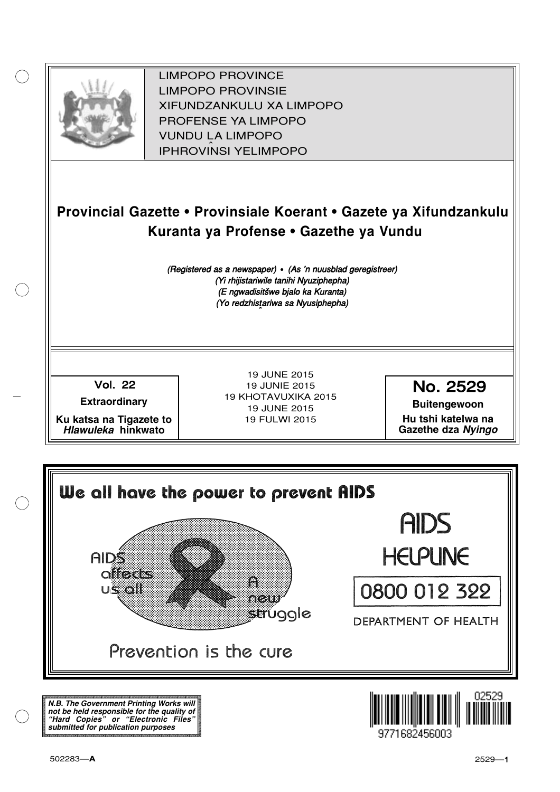

XIFUNDZANKULU XA LIMPOPO<br>PROFENCE XA LIMPORO PROFENSE YA LIMPOPO<br>WILDOLLA LIMPORO SOUTH A LIMPOPO<br>A LIPHROVINSI YELIMPOPO LIMPOPO PROVINCE LIMPOPO PROVINSIE IPHROVINSI YELIMPOPO

## **Provincial Gazette • Provinsiale Koerant • Gazete ya Xifundzankulu Kuranta ya Profense • Gazethe ya Vundu**

(Registered as a newspaper) • (As 'n nuusblad geregistreer) (Yi rhijistariwile tanihi Nyuziphepha) (E ngwadisitšwe bjalo ka Kuranta) (Yo redzhistariwa sa Nyusiphepha)

Vol.- 22

**Extraordinary**

**Ku katsa na Tigazete to Hlawuleka hinkwato**

19 JUNE 2015 19 JUNIE 2015 19 KHOTAVUXIKA 2015 19 JUNE 2015 19 FULWI 2015

No. 2529

**Buitengewoon Hu tshi katelwa na**

**Gazethe dza Nyingo**



**N.B. The Government Printing Works will not be held responsible for the quality of "Hard Copies" or "Electronic Files" submitted for publication purposes**

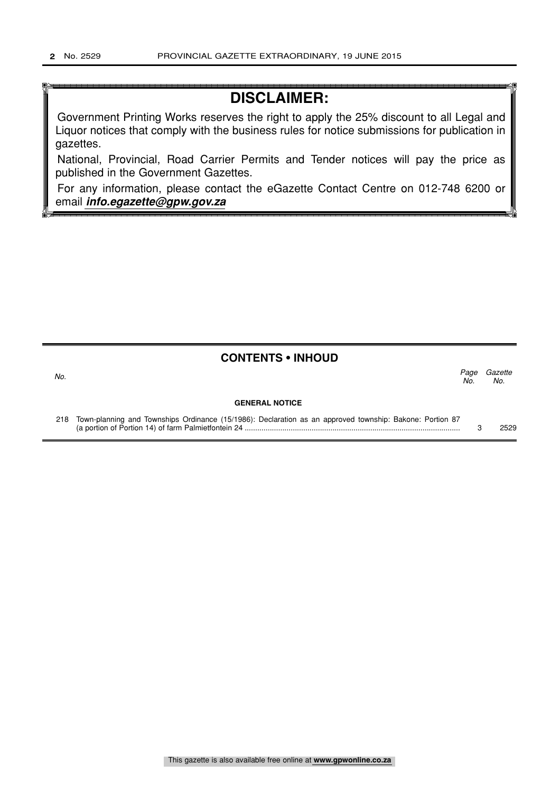## **DISCLAIMER:**

Government Printing Works reserves the right to apply the 25% discount to all Legal and Liquor notices that comply with the business rules for notice submissions for publication in gazettes.

National, Provincial, Road Carrier Permits and Tender notices will pay the price as published in the Government Gazettes.

For any information, please contact the eGazette Contact Centre on 012-748 6200 or email **info.egazette@gpw.gov.za**

## **CONTENTS • INHOUD**

Page Gazette No. No.  $\sim$  No.

### **GENERAL NOTICE**

| 218 Town-planning and Townships Ordinance (15/1986): Declaration as an approved township: Bakone: Portion 87 |  |  |  |  |  |      |
|--------------------------------------------------------------------------------------------------------------|--|--|--|--|--|------|
| (a portion of Portion 14) of farm Palmietfontein 24                                                          |  |  |  |  |  | 2529 |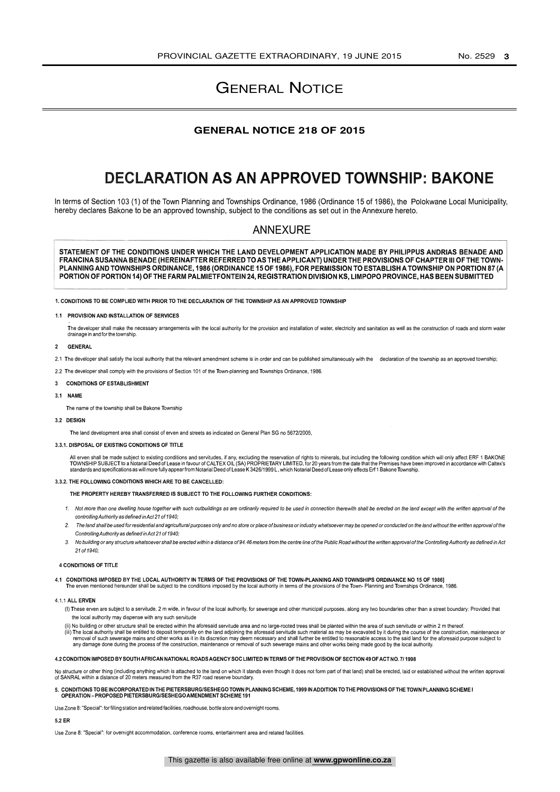## GENERAL NOTICE

### **GENERAL NOTICE 218 OF 2015**

## DECLARATION AS AN APPROVED TOWNSHIP: BAKONE

In terms of Section 103 (1) of the Town Planning and Townships Ordinance, 1986 (Ordinance 15 of 1986), the Polokwane Local Municipality, hereby declares Bakone to be an approved township, subject to the conditions as set out in the Annexure hereto.

### ANNEXURE

STATEMENT OF THE CONDITIONS UNDER WHICH THE LAND DEVELOPMENT APPLICATION MADE BY PHILIPPUS ANDRIAS BENADE AND FRANCINA SUSANNA BENADE (HEREINAFTER REFERRED TO AS THE APPLICANT) UNDER THE PROVISIONS OF CHAPTER III OF THE TOWN - PLANNING AND TOWNSHIPS ORDINANCE, 1986 (ORDINANCE 15 OF 1986), FOR PERMISSION TO ESTABLISH A TOWNSHIP ON PORTION 87 (A PORTION OF PORTION 14) OF THE FARM PALMIETFONTEIN 24, REGISTRATION DIVISION KS, LIMPOPO PROVINCE, HAS BEEN SUBMITTED

1. CONDITIONS TO BE COMPLIED WITH PRIOR TO THE DECLARATION OF THE TOWNSHIP AS AN APPROVED TOWNSHIP

#### 1.1 PROVISION AND INSTALLATION OF SERVICES

The developer shall make the necessary arrangements with the local authority for the provision and installation of water, electricity and sanitation as well as the construction of roads and storm water drainage in and for the township.

#### 2 GENERAL

2.1 The developer shall satisfy the local authority that the relevant amendment scheme is in order and can be published simultaneously with the declaration of the township as an approved township;

2.2 The developer shall comply with the provisions of Section 101 of the Town -planning and Townships Ordinance, 1986.

#### 3 CONDITIONS OF ESTABLISHMENT

3.1 NAME

The name of the township shall be Bakone Township

#### 3.2 DESIGN

The land development area shall consist of erven and streets as indicated on General Plan SG no 5672/2005,

#### 3.3.1. DISPOSAL OF EXISTING CONDITIONS OF TITLE

All erven shall be made subject to existing conditions and servitudes, if any, excluding the reservation of rights to minerals, but including the following condition which will only affect ERF 1 BAKONE<br>TOWNSHIP SUBJECT to

#### 3.3.2. THE FOLLOWING CONDITIONS WHICH ARE TO BE CANCELLED:

#### THE PROPERTY HEREBY TRANSFERRED IS SUBJECT TO THE FOLLOWING FURTHER CONDITIONS:

- 1. Not more than one dwelling house together with such outbuildings as are ordinarily required to be used in connection therewith shall be erected on the land except with the written approval of the controlling Authority as defined in Act 21 of 1940;
- The land shall be used for residential and agricultural purposes only and no store or place of business or industry whatsoever may be opened or conducted on the land without the written approval of the Controlling Authority as defined in Act 21 of 1940;
- 3. No building or any structure whatsoever shall be erected within a distance of 94.46 meters from the centre line of the Public Road without the written approval of the Controlling Authority as defined in Act 21 of 1940;

#### 4 CONDITIONS OF TITLE

4.1 CONDITIONS IMPOSED BY THE LOCAL AUTHORITY IN TERMS OF THE PROVISIONS OF THE TOWN-PLANNING AND TOWNSHIPS ORDINANCE NO 15 OF 1986]<br>The erven mentioned hereunder shall be subject to the conditions imposed by the local aut

#### 4.1.1 ALL ERVEN

- (I) These erven are subject to a servitude, 2 m wide, in favour of the local authority, for sewerage and other municipal purposes, along anytwo boundaries other than a street boundary: Provided that the local authority may dispense with any such servitude
- (ii) No building or other structure shall be erected within the aforesaid servitude area and no large-rooted trees shall be planted within the area of such servitude or within 2 m thereof. iii) The local authority shall be entitled to deposit temporally on the land adjoining the aforesaid servitude such material as may be excavated by it during the course of the construction, maintenance or moval of such ser

#### 4.2 CONDITION IMPOSED BY SOUTH AFRICAN NATIONAL ROADS AGENCY SOC LIMITED IN TERMS OF THE PROVISION OF SECTION 49 OF ACT NO. 7/ 1998

No structure or other thing (including anything which is attached to the land on which it stands even though it does not form part of that land) shall be erected, laid or established without the written approval of SANRAL within a distance of 20 meters measured from the R37 road reserve boundary.

### 5. CONDITIONS TO BE INCORPORATED IN THE PIETERSBURG/SESHEGO TOWN PLANNING SCHEME, 1999 IN ADDITION TO THE PROVISIONS OF THE TOWN PLANNING SCHEME I<br>OPERATION – PROPOSED PIETERSBURG/SESHEGO AMENDMENT SCHEME 191

Use Zone 8: "Special ": forfilling station and related facilities, roadhouse, bottle store and overnight rooms.

#### 5.2 ER

Use Zone 8: "Special": for overnight accommodation, conference rooms, entertainment area and related facilities.